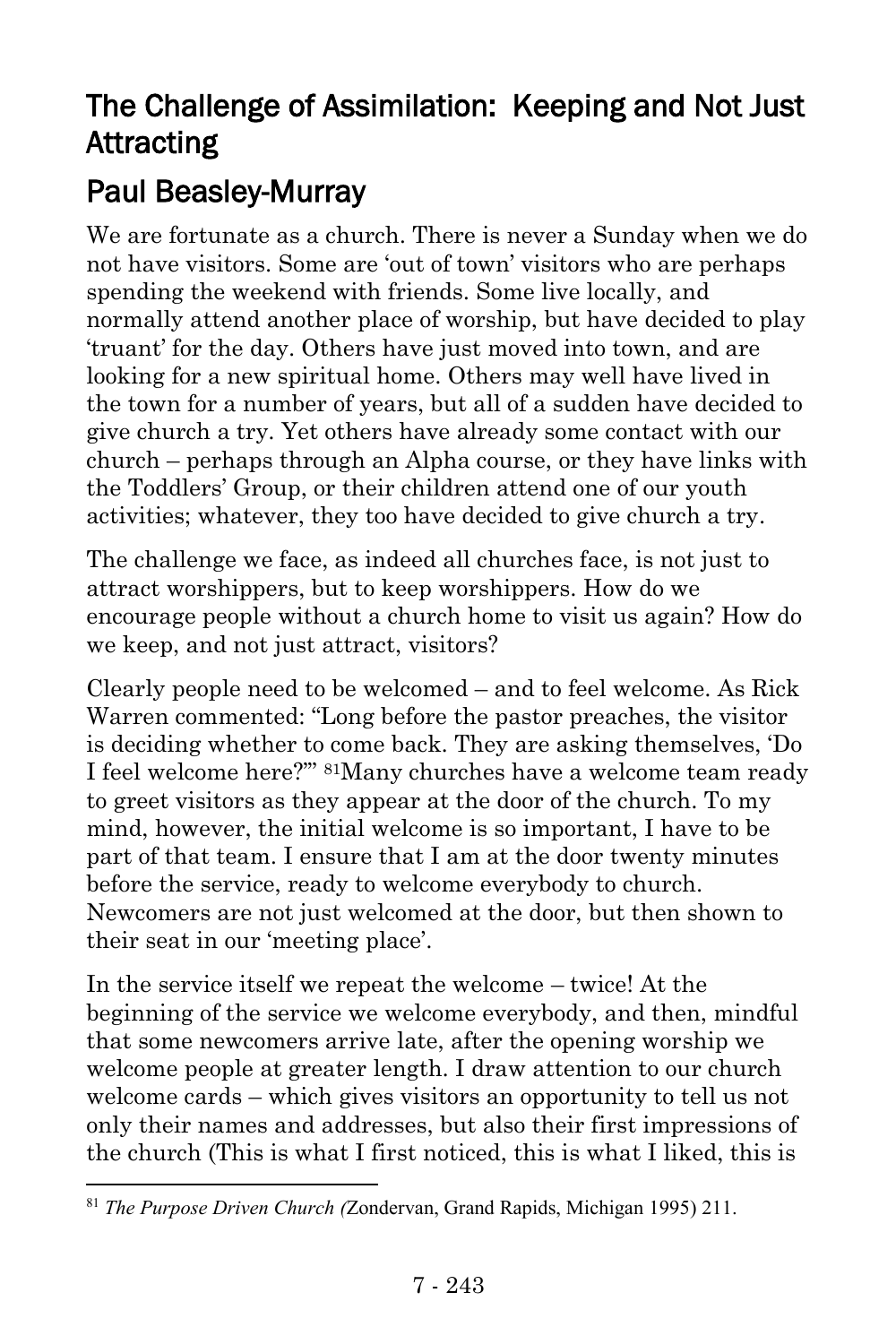## The Challenge of Assimilation: Keeping and Not Just Attracting

## Paul Beasley-Murray

We are fortunate as a church. There is never a Sunday when we do not have visitors. Some are 'out of town' visitors who are perhaps spending the weekend with friends. Some live locally, and normally attend another place of worship, but have decided to play 'truant' for the day. Others have just moved into town, and are looking for a new spiritual home. Others may well have lived in the town for a number of years, but all of a sudden have decided to give church a try. Yet others have already some contact with our church – perhaps through an Alpha course, or they have links with the Toddlers' Group, or their children attend one of our youth activities; whatever, they too have decided to give church a try.

The challenge we face, as indeed all churches face, is not just to attract worshippers, but to keep worshippers. How do we encourage people without a church home to visit us again? How do we keep, and not just attract, visitors?

Clearly people need to be welcomed – and to feel welcome. As Rick Warren commented: "Long before the pastor preaches, the visitor is deciding whether to come back. They are asking themselves, 'Do I feel welcome here?'" 81Many churches have a welcome team ready to greet visitors as they appear at the door of the church. To my mind, however, the initial welcome is so important, I have to be part of that team. I ensure that I am at the door twenty minutes before the service, ready to welcome everybody to church. Newcomers are not just welcomed at the door, but then shown to their seat in our 'meeting place'.

In the service itself we repeat the welcome – twice! At the beginning of the service we welcome everybody, and then, mindful that some newcomers arrive late, after the opening worship we welcome people at greater length. I draw attention to our church welcome cards – which gives visitors an opportunity to tell us not only their names and addresses, but also their first impressions of the church (This is what I first noticed, this is what I liked, this is

l

<sup>81</sup> *The Purpose Driven Church (*Zondervan, Grand Rapids, Michigan 1995) 211.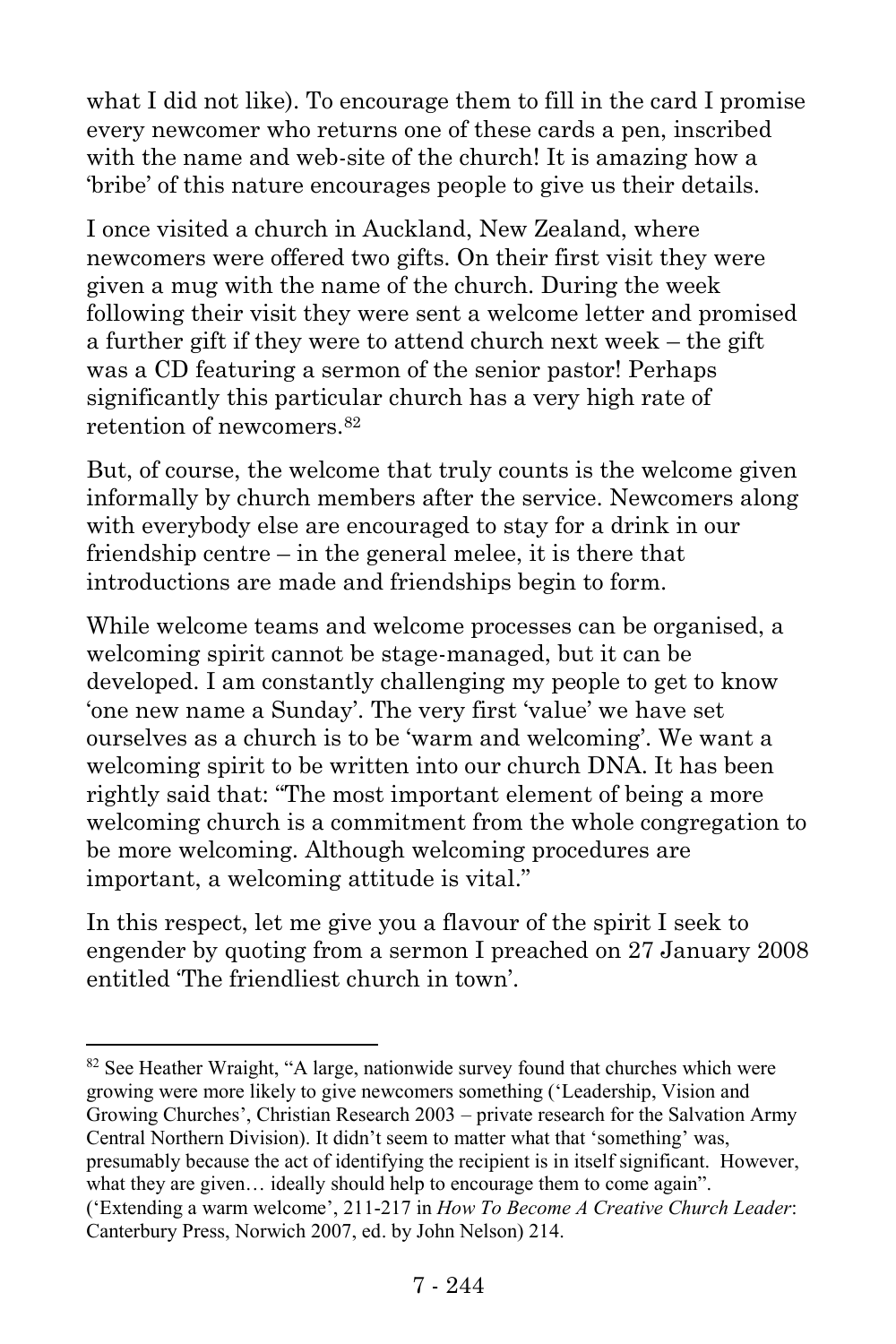what I did not like). To encourage them to fill in the card I promise every newcomer who returns one of these cards a pen, inscribed with the name and web-site of the church! It is amazing how a 'bribe' of this nature encourages people to give us their details.

I once visited a church in Auckland, New Zealand, where newcomers were offered two gifts. On their first visit they were given a mug with the name of the church. During the week following their visit they were sent a welcome letter and promised a further gift if they were to attend church next week – the gift was a CD featuring a sermon of the senior pastor! Perhaps significantly this particular church has a very high rate of retention of newcomers.<sup>82</sup>

But, of course, the welcome that truly counts is the welcome given informally by church members after the service. Newcomers along with everybody else are encouraged to stay for a drink in our friendship centre – in the general melee, it is there that introductions are made and friendships begin to form.

While welcome teams and welcome processes can be organised, a welcoming spirit cannot be stage-managed, but it can be developed. I am constantly challenging my people to get to know 'one new name a Sunday'. The very first 'value' we have set ourselves as a church is to be 'warm and welcoming'. We want a welcoming spirit to be written into our church DNA. It has been rightly said that: "The most important element of being a more welcoming church is a commitment from the whole congregation to be more welcoming. Although welcoming procedures are important, a welcoming attitude is vital."

In this respect, let me give you a flavour of the spirit I seek to engender by quoting from a sermon I preached on 27 January 2008 entitled 'The friendliest church in town'.

 $82$  See Heather Wraight, "A large, nationwide survey found that churches which were growing were more likely to give newcomers something ('Leadership, Vision and Growing Churches', Christian Research 2003 – private research for the Salvation Army Central Northern Division). It didn't seem to matter what that 'something' was, presumably because the act of identifying the recipient is in itself significant. However,

what they are given… ideally should help to encourage them to come again".

 $\overline{a}$ 

<sup>(&#</sup>x27;Extending a warm welcome', 211-217 in *How To Become A Creative Church Leader*: Canterbury Press, Norwich 2007, ed. by John Nelson) 214.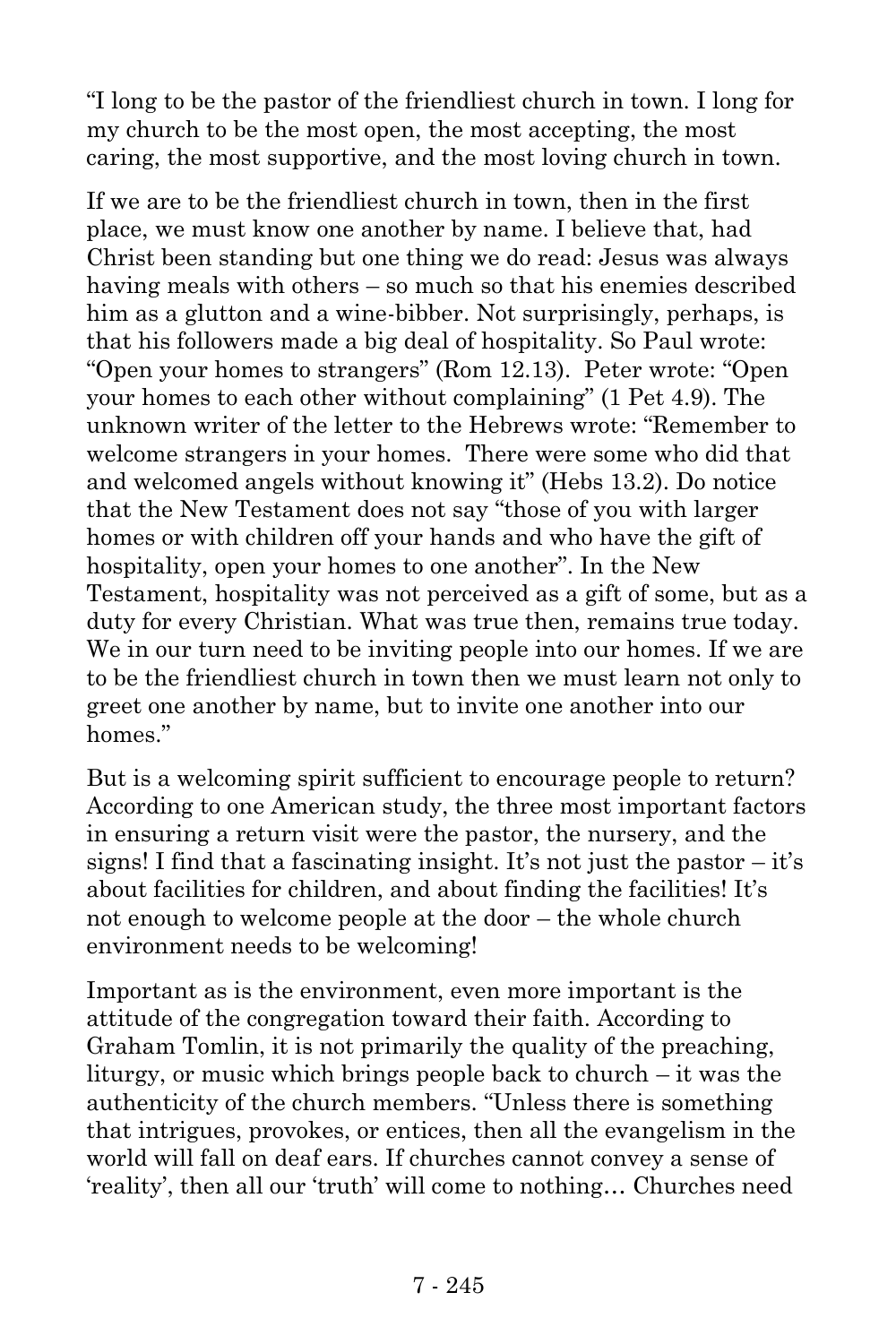"I long to be the pastor of the friendliest church in town. I long for my church to be the most open, the most accepting, the most caring, the most supportive, and the most loving church in town.

If we are to be the friendliest church in town, then in the first place, we must know one another by name. I believe that, had Christ been standing but one thing we do read: Jesus was always having meals with others – so much so that his enemies described him as a glutton and a wine-bibber. Not surprisingly, perhaps, is that his followers made a big deal of hospitality. So Paul wrote: "Open your homes to strangers" (Rom 12.13). Peter wrote: "Open your homes to each other without complaining" (1 Pet 4.9). The unknown writer of the letter to the Hebrews wrote: "Remember to welcome strangers in your homes. There were some who did that and welcomed angels without knowing it" (Hebs 13.2). Do notice that the New Testament does not say "those of you with larger homes or with children off your hands and who have the gift of hospitality, open your homes to one another". In the New Testament, hospitality was not perceived as a gift of some, but as a duty for every Christian. What was true then, remains true today. We in our turn need to be inviting people into our homes. If we are to be the friendliest church in town then we must learn not only to greet one another by name, but to invite one another into our homes."

But is a welcoming spirit sufficient to encourage people to return? According to one American study, the three most important factors in ensuring a return visit were the pastor, the nursery, and the signs! I find that a fascinating insight. It's not just the pastor  $-$  it's about facilities for children, and about finding the facilities! It's not enough to welcome people at the door – the whole church environment needs to be welcoming!

Important as is the environment, even more important is the attitude of the congregation toward their faith. According to Graham Tomlin, it is not primarily the quality of the preaching, liturgy, or music which brings people back to church – it was the authenticity of the church members. "Unless there is something that intrigues, provokes, or entices, then all the evangelism in the world will fall on deaf ears. If churches cannot convey a sense of 'reality', then all our 'truth' will come to nothing… Churches need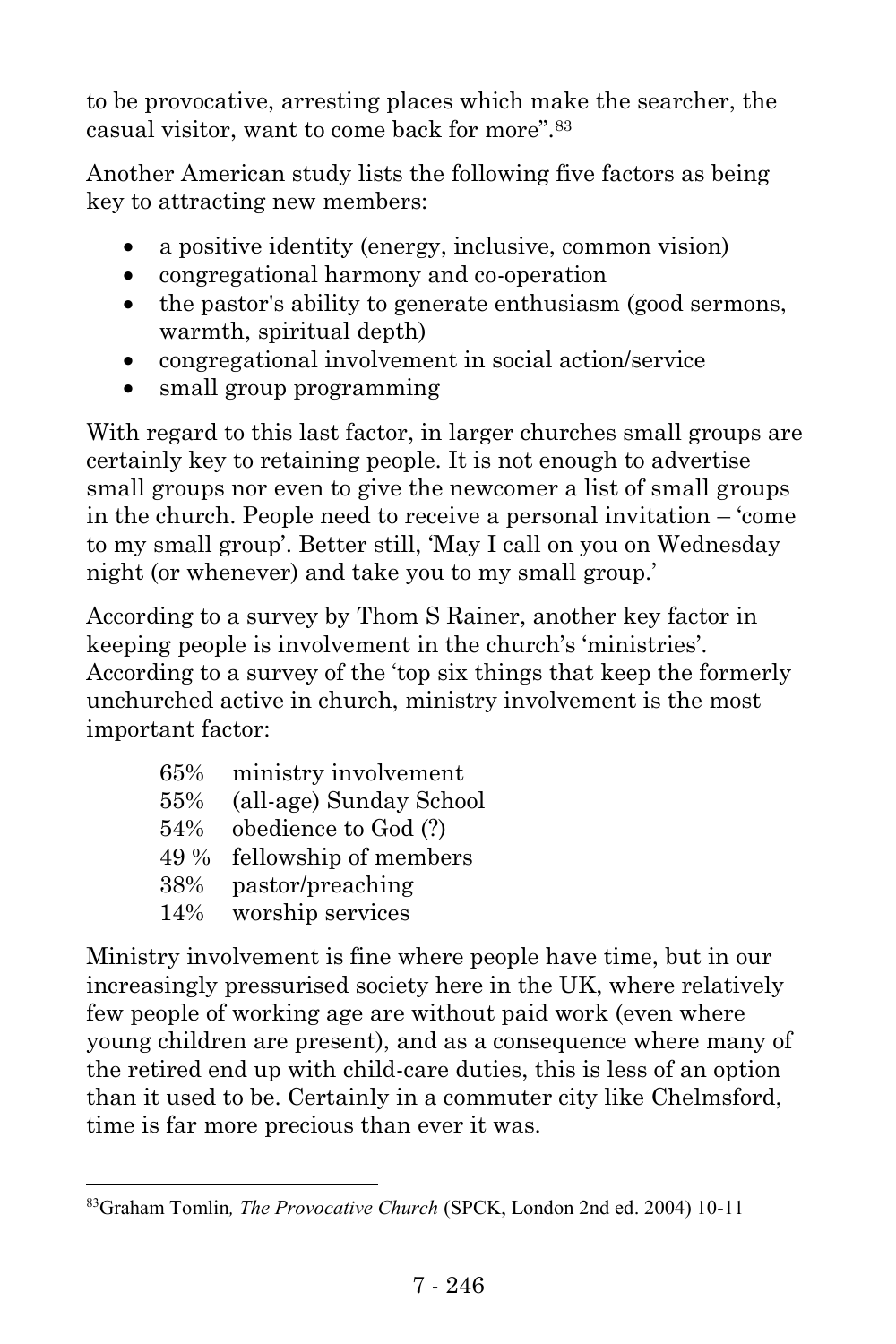to be provocative, arresting places which make the searcher, the casual visitor, want to come back for more".<sup>83</sup>

Another American study lists the following five factors as being key to attracting new members:

- a positive identity (energy, inclusive, common vision)
- congregational harmony and co-operation
- the pastor's ability to generate enthusiasm (good sermons, warmth, spiritual depth)
- congregational involvement in social action/service
- small group programming

With regard to this last factor, in larger churches small groups are certainly key to retaining people. It is not enough to advertise small groups nor even to give the newcomer a list of small groups in the church. People need to receive a personal invitation – 'come to my small group'. Better still, 'May I call on you on Wednesday night (or whenever) and take you to my small group.'

According to a survey by Thom S Rainer, another key factor in keeping people is involvement in the church's 'ministries'. According to a survey of the 'top six things that keep the formerly unchurched active in church, ministry involvement is the most important factor:

| 65%  | ministry involvement    |
|------|-------------------------|
| 55%  | (all-age) Sunday School |
| 54%  | obedience to God (?)    |
| 49 % | fellowship of members   |
| 38%  | pastor/preaching        |
| 14%  | worship services        |

l

Ministry involvement is fine where people have time, but in our increasingly pressurised society here in the UK, where relatively few people of working age are without paid work (even where young children are present), and as a consequence where many of the retired end up with child-care duties, this is less of an option than it used to be. Certainly in a commuter city like Chelmsford, time is far more precious than ever it was.

<sup>83</sup>Graham Tomlin*, The Provocative Church* (SPCK, London 2nd ed. 2004) 10-11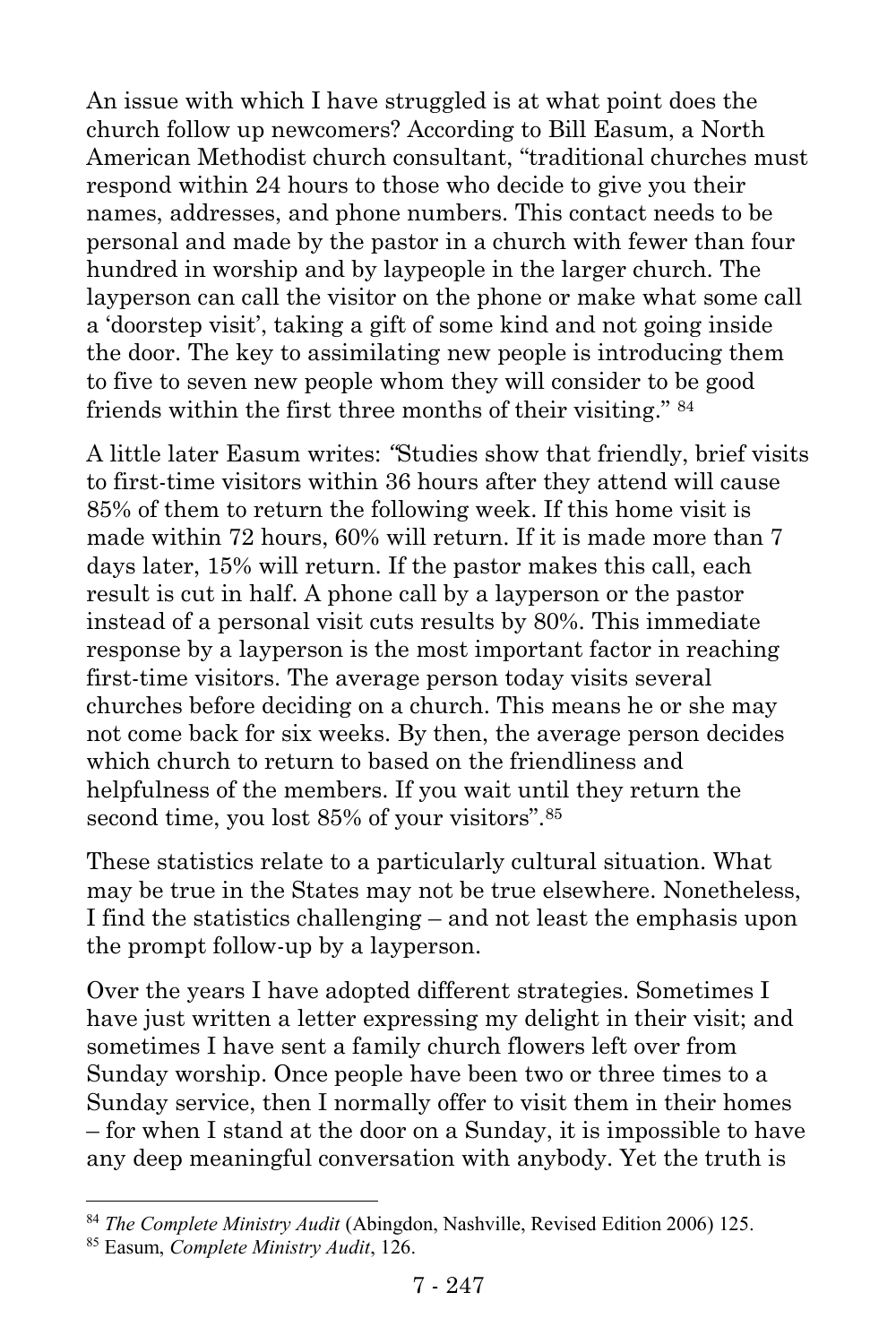An issue with which I have struggled is at what point does the church follow up newcomers? According to Bill Easum, a North American Methodist church consultant, "traditional churches must respond within 24 hours to those who decide to give you their names, addresses, and phone numbers. This contact needs to be personal and made by the pastor in a church with fewer than four hundred in worship and by laypeople in the larger church. The layperson can call the visitor on the phone or make what some call a 'doorstep visit', taking a gift of some kind and not going inside the door. The key to assimilating new people is introducing them to five to seven new people whom they will consider to be good friends within the first three months of their visiting." <sup>84</sup>

A little later Easum writes: *"*Studies show that friendly, brief visits to first-time visitors within 36 hours after they attend will cause 85% of them to return the following week. If this home visit is made within 72 hours, 60% will return. If it is made more than 7 days later, 15% will return. If the pastor makes this call, each result is cut in half. A phone call by a layperson or the pastor instead of a personal visit cuts results by 80%. This immediate response by a layperson is the most important factor in reaching first-time visitors. The average person today visits several churches before deciding on a church. This means he or she may not come back for six weeks. By then, the average person decides which church to return to based on the friendliness and helpfulness of the members. If you wait until they return the second time, you lost 85% of your visitors".<sup>85</sup>

These statistics relate to a particularly cultural situation. What may be true in the States may not be true elsewhere. Nonetheless, I find the statistics challenging – and not least the emphasis upon the prompt follow-up by a layperson.

Over the years I have adopted different strategies. Sometimes I have just written a letter expressing my delight in their visit; and sometimes I have sent a family church flowers left over from Sunday worship. Once people have been two or three times to a Sunday service, then I normally offer to visit them in their homes – for when I stand at the door on a Sunday, it is impossible to have any deep meaningful conversation with anybody. Yet the truth is

l

<sup>84</sup> *The Complete Ministry Audit* (Abingdon, Nashville, Revised Edition 2006) 125.

<sup>85</sup> Easum, *Complete Ministry Audit*, 126.